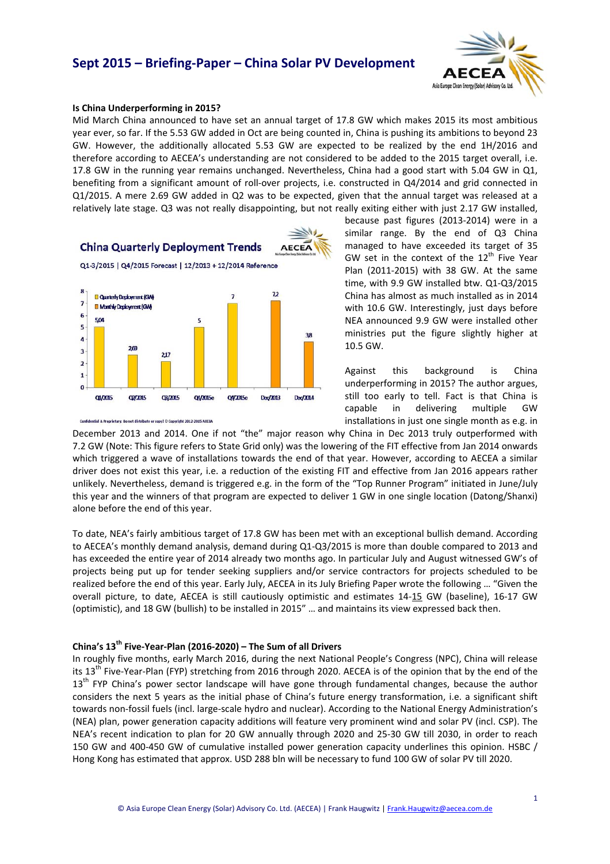## **Sept 2015 – Briefing‐Paper – China Solar PV Development**



#### **Is China Underperforming in 2015?**

Mid March China announced to have set an annual target of 17.8 GW which makes 2015 its most ambitious year ever, so far. If the 5.53 GW added in Oct are being counted in, China is pushing its ambitions to beyond 23 GW. However, the additionally allocated 5.53 GW are expected to be realized by the end 1H/2016 and therefore according to AECEA's understanding are not considered to be added to the 2015 target overall, i.e. 17.8 GW in the running year remains unchanged. Nevertheless, China had a good start with 5.04 GW in Q1, benefiting from a significant amount of roll‐over projects, i.e. constructed in Q4/2014 and grid connected in Q1/2015. A mere 2.69 GW added in Q2 was to be expected, given that the annual target was released at a relatively late stage. Q3 was not really disappointing, but not really exiting either with just 2.17 GW installed,



because past figures (2013‐2014) were in a similar range. By the end of Q3 China managed to have exceeded its target of 35 GW set in the context of the  $12<sup>th</sup>$  Five Year Plan (2011‐2015) with 38 GW. At the same time, with 9.9 GW installed btw. Q1‐Q3/2015 China has almost as much installed as in 2014 with 10.6 GW. Interestingly, just days before NEA announced 9.9 GW were installed other ministries put the figure slightly higher at 10.5 GW.

Against this background is China underperforming in 2015? The author argues, still too early to tell. Fact is that China is capable in delivering multiple GW installations in just one single month as e.g. in

December 2013 and 2014. One if not "the" major reason why China in Dec 2013 truly outperformed with 7.2 GW (Note: This figure refers to State Grid only) was the lowering of the FIT effective from Jan 2014 onwards which triggered a wave of installations towards the end of that year. However, according to AECEA a similar driver does not exist this year, i.e. a reduction of the existing FIT and effective from Jan 2016 appears rather unlikely. Nevertheless, demand is triggered e.g. in the form of the "Top Runner Program" initiated in June/July this year and the winners of that program are expected to deliver 1 GW in one single location (Datong/Shanxi) alone before the end of this year.

To date, NEA's fairly ambitious target of 17.8 GW has been met with an exceptional bullish demand. According to AECEA's monthly demand analysis, demand during Q1‐Q3/2015 is more than double compared to 2013 and has exceeded the entire year of 2014 already two months ago. In particular July and August witnessed GW's of projects being put up for tender seeking suppliers and/or service contractors for projects scheduled to be realized before the end of this year. Early July, AECEA in its July Briefing Paper wrote the following … "Given the overall picture, to date, AECEA is still cautiously optimistic and estimates 14‐15 GW (baseline), 16‐17 GW (optimistic), and 18 GW (bullish) to be installed in 2015" … and maintains its view expressed back then.

### **China's 13th Five‐Year‐Plan (2016‐2020) – The Sum of all Drivers**

In roughly five months, early March 2016, during the next National People's Congress (NPC), China will release its 13<sup>th</sup> Five-Year-Plan (FYP) stretching from 2016 through 2020. AECEA is of the opinion that by the end of the  $13<sup>th</sup>$  FYP China's power sector landscape will have gone through fundamental changes, because the author considers the next 5 years as the initial phase of China's future energy transformation, i.e. a significant shift towards non‐fossil fuels (incl. large‐scale hydro and nuclear). According to the National Energy Administration's (NEA) plan, power generation capacity additions will feature very prominent wind and solar PV (incl. CSP). The NEA's recent indication to plan for 20 GW annually through 2020 and 25‐30 GW till 2030, in order to reach 150 GW and 400‐450 GW of cumulative installed power generation capacity underlines this opinion. HSBC / Hong Kong has estimated that approx. USD 288 bln will be necessary to fund 100 GW of solar PV till 2020.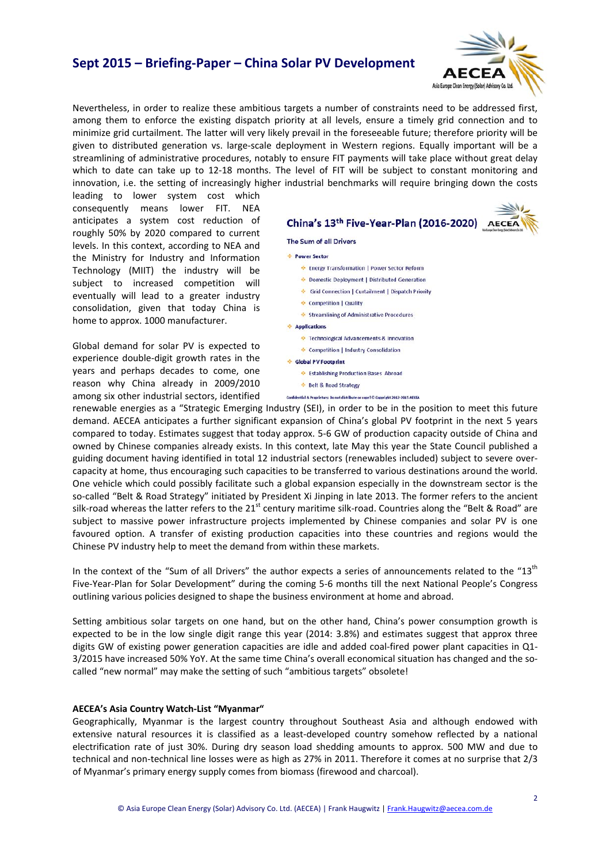## **Sept 2015 – Briefing‐Paper – China Solar PV Development**



Nevertheless, in order to realize these ambitious targets a number of constraints need to be addressed first, among them to enforce the existing dispatch priority at all levels, ensure a timely grid connection and to minimize grid curtailment. The latter will very likely prevail in the foreseeable future; therefore priority will be given to distributed generation vs. large‐scale deployment in Western regions. Equally important will be a streamlining of administrative procedures, notably to ensure FIT payments will take place without great delay which to date can take up to 12-18 months. The level of FIT will be subject to constant monitoring and innovation, i.e. the setting of increasingly higher industrial benchmarks will require bringing down the costs

leading to lower system cost which consequently means lower FIT. NEA anticipates a system cost reduction of roughly 50% by 2020 compared to current levels. In this context, according to NEA and the Ministry for Industry and Information Technology (MIIT) the industry will be subject to increased competition will eventually will lead to a greater industry consolidation, given that today China is home to approx. 1000 manufacturer.

Global demand for solar PV is expected to experience double‐digit growth rates in the years and perhaps decades to come, one reason why China already in 2009/2010 among six other industrial sectors, identified



renewable energies as a "Strategic Emerging Industry (SEI), in order to be in the position to meet this future demand. AECEA anticipates a further significant expansion of China's global PV footprint in the next 5 years compared to today. Estimates suggest that today approx. 5‐6 GW of production capacity outside of China and owned by Chinese companies already exists. In this context, late May this year the State Council published a guiding document having identified in total 12 industrial sectors (renewables included) subject to severe over‐ capacity at home, thus encouraging such capacities to be transferred to various destinations around the world. One vehicle which could possibly facilitate such a global expansion especially in the downstream sector is the so-called "Belt & Road Strategy" initiated by President Xi Jinping in late 2013. The former refers to the ancient silk-road whereas the latter refers to the 21<sup>st</sup> century maritime silk-road. Countries along the "Belt & Road" are subject to massive power infrastructure projects implemented by Chinese companies and solar PV is one favoured option. A transfer of existing production capacities into these countries and regions would the Chinese PV industry help to meet the demand from within these markets.

In the context of the "Sum of all Drivers" the author expects a series of announcements related to the " $13<sup>th</sup>$ Five‐Year‐Plan for Solar Development" during the coming 5‐6 months till the next National People's Congress outlining various policies designed to shape the business environment at home and abroad.

Setting ambitious solar targets on one hand, but on the other hand, China's power consumption growth is expected to be in the low single digit range this year (2014: 3.8%) and estimates suggest that approx three digits GW of existing power generation capacities are idle and added coal‐fired power plant capacities in Q1‐ 3/2015 have increased 50% YoY. At the same time China's overall economical situation has changed and the so‐ called "new normal" may make the setting of such "ambitious targets" obsolete!

### **AECEA's Asia Country Watch‐List "Myanmar"**

Geographically, Myanmar is the largest country throughout Southeast Asia and although endowed with extensive natural resources it is classified as a least-developed country somehow reflected by a national electrification rate of just 30%. During dry season load shedding amounts to approx. 500 MW and due to technical and non-technical line losses were as high as 27% in 2011. Therefore it comes at no surprise that 2/3 of Myanmar's primary energy supply comes from biomass (firewood and charcoal).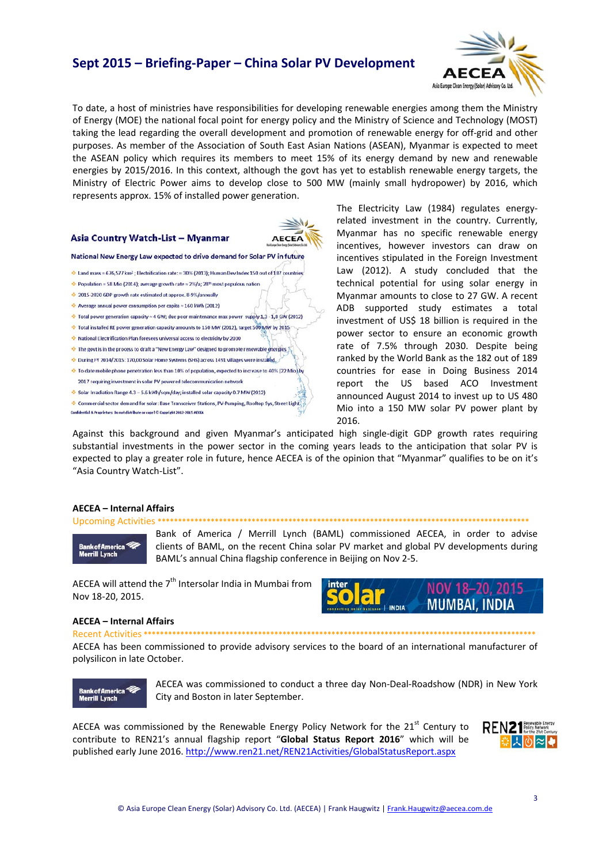### **Sept 2015 – Briefing‐Paper – China Solar PV Development**



To date, a host of ministries have responsibilities for developing renewable energies among them the Ministry of Energy (MOE) the national focal point for energy policy and the Ministry of Science and Technology (MOST) taking the lead regarding the overall development and promotion of renewable energy for off‐grid and other purposes. As member of the Association of South East Asian Nations (ASEAN), Myanmar is expected to meet the ASEAN policy which requires its members to meet 15% of its energy demand by new and renewable energies by 2015/2016. In this context, although the govt has yet to establish renewable energy targets, the Ministry of Electric Power aims to develop close to 500 MW (mainly small hydropower) by 2016, which represents approx. 15% of installed power generation.

**AECEA** 

#### Asia Country Watch-List - Myanmar

National New Energy Law expected to drive demand for Solar PV in future

- Land mass = 676,577 km<sup>2</sup>; Electrification rate: = 30% (2013); Human Dev Index 150 out of 187 countries
- $\spadesuit$  Population = 58 Mio (2014); average growth rate = 2%/a; 28<sup>th</sup> most populous nation
- 2015-2020 GDP growth rate estimated at approx. 8-9%/annually
- Average annual power consumption per capita = 160 kWh (2012)
- Total power generation capacity = 4 GW; due poor maintenance max power supply 1,3 1,8 GW (2012)
- Total installed RE power generation capacity amounts to 150 MW (2012), target 500 MW by 2015
- Mational Electrification Plan foresees universal access to electricity by 2030
- The govt is in the process to draft a "New Energy Law" designed to promote renewable energies
- Ouring FY 2014/2015: 170,00 Solar Home Systems (SHS) across 1491 villages were installed.
- + To date mobile phone penetration less than 10% of population, expected to increase to 40% (22 Mio).by 2017 requiring investment in solar PV powered telecommunication network
- Solar Irradiation Range 4.3 5.6 kWh/sqm/day; installed solar capacity 0.7 MW (2012)
- Commercial sector demand for solar: Base Transceiver Stations, PV-Pumping, Rooftop Sys, Street Light .<br>Confidential & Proprietary: Do not distribute or copy ! © Copyright 2012-2015 AECEA

The Electricity Law (1984) regulates energy‐ related investment in the country. Currently, Myanmar has no specific renewable energy incentives, however investors can draw on incentives stipulated in the Foreign Investment Law (2012). A study concluded that the technical potential for using solar energy in Myanmar amounts to close to 27 GW. A recent ADB supported study estimates a total investment of US\$ 18 billion is required in the power sector to ensure an economic growth rate of 7.5% through 2030. Despite being ranked by the World Bank as the 182 out of 189 countries for ease in Doing Business 2014 report the US based ACO Investment announced August 2014 to invest up to US 480 Mio into a 150 MW solar PV power plant by 2016.

Against this background and given Myanmar's anticipated high single‐digit GDP growth rates requiring substantial investments in the power sector in the coming years leads to the anticipation that solar PV is expected to play a greater role in future, hence AECEA is of the opinion that "Myanmar" qualifies to be on it's "Asia Country Watch‐List".

#### **AECEA – Internal Affairs**

#### Upcoming Activities **\*\*\*\*\*\*\*\*\*\*\*\*\*\*\*\*\*\*\*\*\*\*\*\*\*\*\*\*\*\*\*\*\*\*\*\*\*\*\*\*\*\*\*\*\*\*\*\*\*\*\*\*\*\*\*\*\*\*\*\*\*\*\*\*\*\*\*\*\*\*\*\*\*\*\*\*\*\*\*\*\*\*\*\*\*\*\*\*\*\*\***

**Bank of America Merrill Lynch** 

Bank of America / Merrill Lynch (BAML) commissioned AECEA, in order to advise clients of BAML, on the recent China solar PV market and global PV developments during BAML's annual China flagship conference in Beijing on Nov 2‐5.

AECEA will attend the  $7<sup>th</sup>$  Intersolar India in Mumbai from Nov 18‐20, 2015.

#### **AECEA – Internal Affairs**

Recent Activities **\*\*\*\*\*\*\*\*\*\*\*\*\*\*\*\*\*\*\*\*\*\*\*\*\*\*\*\*\*\*\*\*\*\*\*\*\*\*\*\*\*\*\*\*\*\*\*\*\*\*\*\*\*\*\*\*\*\*\*\*\*\*\*\*\*\*\*\*\*\*\*\*\*\*\*\*\*\*\*\*\*\*\*\*\*\*\*\*\*\*\*\*\*\*\*\*** AECEA has been commissioned to provide advisory services to the board of an international manufacturer of polysilicon in late October.



AECEA was commissioned to conduct a three day Non‐Deal‐Roadshow (NDR) in New York City and Boston in later September.

AECEA was commissioned by the Renewable Energy Policy Network for the  $21<sup>st</sup>$  Century to contribute to REN21's annual flagship report "**Global Status Report 2016**" which will be published early June 2016. http://www.ren21.net/REN21Activities/GlobalStatusReport.aspx



NOV 18-20, 2015 **MUMBAI, INDIA**